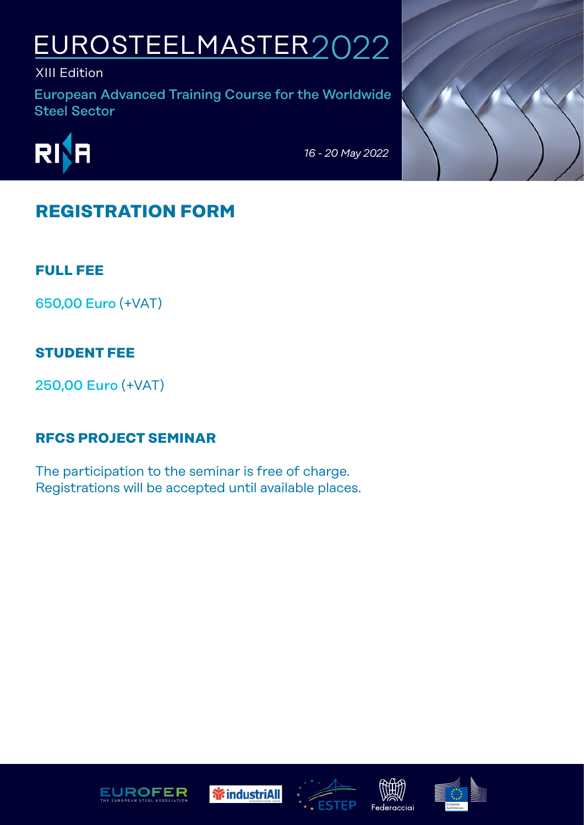# EUROSTEELMASTER2022

XIII Edition

European Advanced Training Course for the Worldwide Steel Sector



*16 - 20 May 2022* 

## **REGISTRATION FORM**

**FULL FEE**

650,00 Euro (+VAT)

## **STUDENT FEE**

250,00 Euro (+VAT)

## **RFCS PROJECT SEMINAR**

The participation to the seminar is free of charge. Registrations will be accepted until available places.